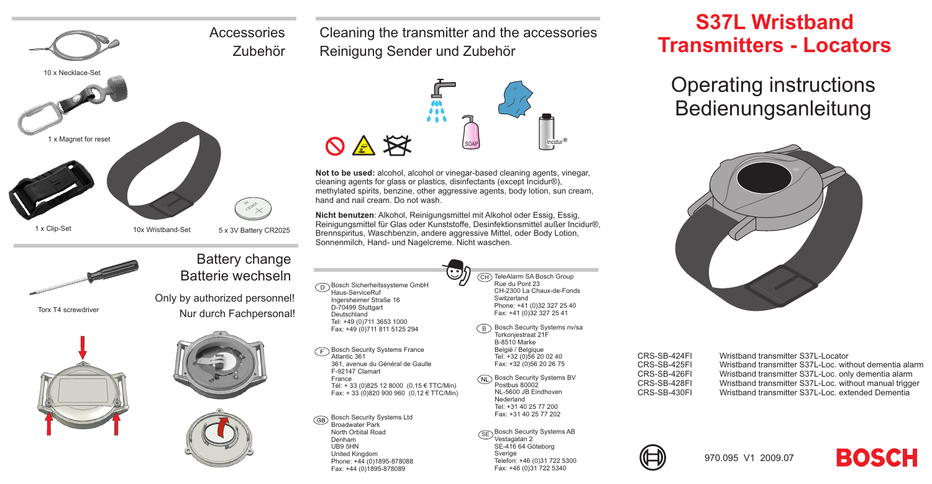# 10 <sup>x</sup> Necklace-Set **Accessories** Zubehör





Torx T4 screwdriver





Only by authorized personnel!

Battery change Batterie wechseln



Cleaning the transmitter and the accessories Reinigung Sender und Zubehör



**Not to be used:** alcohol, alcohol or vinegar-based cleaning agents, vinegar, cleaning agents for glass or plastics, disinfectants (except Incidur®), methylated spirits, benzine, other aggressive agents, body lotion, sun cream, hand and nail cream. Do not wash.

**Nicht benutzen**: Alkohol, Reinigungsmittel mit Alkohol oder Essig, Essig, Reinigungsmittel für Glas oder Kunststoffe, Desinfektionsmittel außer Incidur®, Brennspiritus, Waschbenzin, andere aggressive Mittel, oder Body Lotion, Sonnenmilch, Hand- und Nagelcreme. Nicht waschen.

 $\cdot \cdot$ 

Bosch Sicherheitssysteme GmbH Haus-ServiceRuf Ingersheimer Straße 16 D-70499 Stuttgart Deutschland Tel: +49 (0)711 3653 1000 Fax: +49 (0)711 811 5125 294

Bosch Security Systems France Atlantic 361 361, avenue du Général de Gaulle F-92147 Clamart France Tél: <sup>+</sup> 33 (0)825 12 8000 (0,15 € TTC/Min) Fax: <sup>+</sup> 33 (0)820 900 960 (0,12 € TTC/Min)

Bosch Security Systems Ltd **GB** Broadwater Park North Orbital RoadDenham UB9 5HN United Kingdom Phone: +44 (0)1895-878088 Fax: +44 (0)1895-878089

CH TeleAlarm SA Bosch Group Rue du Pont 23 CH-2300 La Chaux-de-FondsSwitzerland Phone: +41 (0)32 327 25 40 Fax: +41 (0)32 327 25 41

- <code>B</code>  $\,$  Bosch Security Systems nv/sa Torkonjestraat 21F B-8510 Marke België / Belgique Tel: +32 (0)56 20 02 40 Fax: +32 (0)56 20 26 75
- **Bosch Security Systems BV** Postbus 80002 NL-5600 JB EindhovenNederland Tel: +31 40 25 77 200 Fax: +31 40 25 77 202
	- $\widehat{\textsf{SE}}$  Bosch Security Systems AB Vestagatan 2 SE-416 64 Göteborg Sverige Telefon: +46 (0)31 722 5300 Fax: +46 (0)31 722 5340

## **S37L WristbandTransmitters - Locators**

Operating instructions Bedienungsanleitung



CRS-SB-424FI Wristband transmitter S37L-Locator CRS-SB-425FI Wristband transmitter S37L-Loc. without dementia alarmCRS-SB-426FI Wristband transmitter S37L-Loc. only dementia alarm CRS-SB-428FI Wristband transmitter S37L-Loc. without manual trigger<br>CRS-SB-430FI Wristband transmitter S37L-Loc. extended Dementia Wristhand transmitter S37L-Loc. extended Dementia